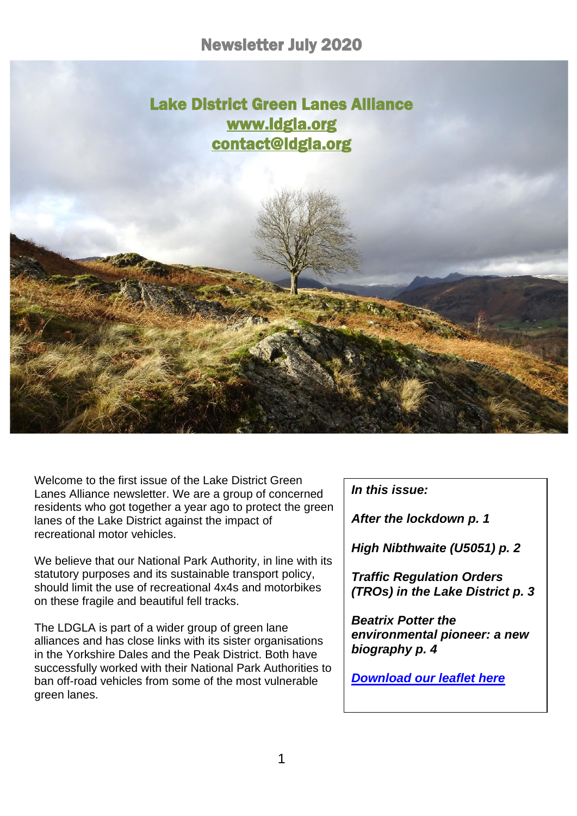i



Welcome to the first issue of the Lake District Green Lanes Alliance newsletter. We are a group of concerned residents who got together a year ago to protect the green lanes of the Lake District against the impact of recreational motor vehicles.

We believe that our National Park Authority, in line with its statutory purposes and its sustainable transport policy, should limit the use of recreational 4x4s and motorbikes on these fragile and beautiful fell tracks.

The LDGLA is part of a wider group of green lane alliances and has close links with its sister organisations in the Yorkshire Dales and the Peak District. Both have successfully worked with their National Park Authorities to ban off-road vehicles from some of the most vulnerable green lanes.

*In this issue:*

*After the lockdown p. 1*

*High Nibthwaite (U5051) p. 2*

*Traffic Regulation Orders (TROs) in the Lake District p. 3*

*Beatrix Potter the environmental pioneer: a new biography p. 4*

*[Download our leaflet here](https://d93992ec-49a9-490d-8cd2-4c8f6682bde7.filesusr.com/ugd/269609_4dfa44ecc9c94858b47eb7b5075a5d50.pdf)*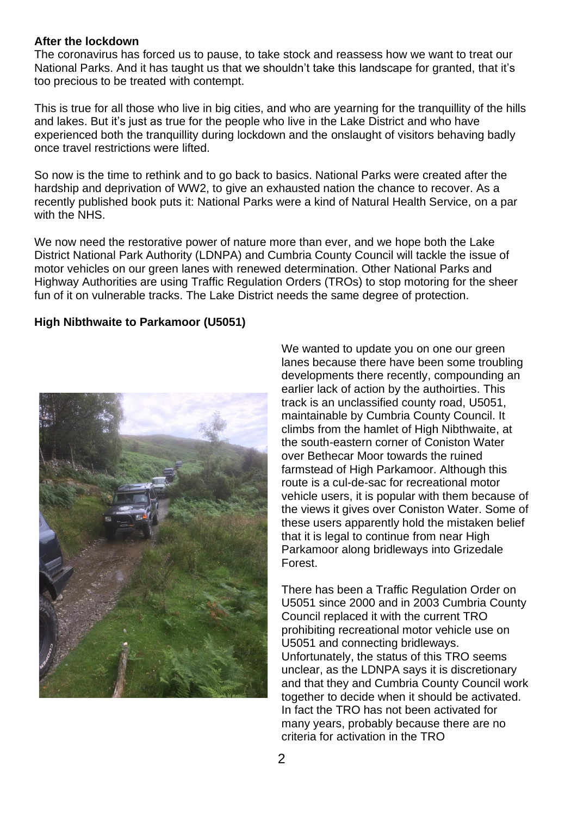## **After the lockdown**

The coronavirus has forced us to pause, to take stock and reassess how we want to treat our National Parks. And it has taught us that we shouldn't take this landscape for granted, that it's too precious to be treated with contempt.

This is true for all those who live in big cities, and who are yearning for the tranquillity of the hills and lakes. But it's just as true for the people who live in the Lake District and who have experienced both the tranquillity during lockdown and the onslaught of visitors behaving badly once travel restrictions were lifted.

So now is the time to rethink and to go back to basics. National Parks were created after the hardship and deprivation of WW2, to give an exhausted nation the chance to recover. As a recently published book puts it: National Parks were a kind of Natural Health Service, on a par with the NHS.

We now need the restorative power of nature more than ever, and we hope both the Lake District National Park Authority (LDNPA) and Cumbria County Council will tackle the issue of motor vehicles on our green lanes with renewed determination. Other National Parks and Highway Authorities are using Traffic Regulation Orders (TROs) to stop motoring for the sheer fun of it on vulnerable tracks. The Lake District needs the same degree of protection.

## **High Nibthwaite to Parkamoor (U5051)**



We wanted to update you on one our green lanes because there have been some troubling developments there recently, compounding an earlier lack of action by the authoirties. This track is an unclassified county road, U5051, maintainable by Cumbria County Council. It climbs from the hamlet of High Nibthwaite, at the south-eastern corner of Coniston Water over Bethecar Moor towards the ruined farmstead of High Parkamoor. Although this route is a cul-de-sac for recreational motor vehicle users, it is popular with them because of the views it gives over Coniston Water. Some of these users apparently hold the mistaken belief that it is legal to continue from near High Parkamoor along bridleways into Grizedale Forest.

There has been a Traffic Regulation Order on U5051 since 2000 and in 2003 Cumbria County Council replaced it with the current TRO prohibiting recreational motor vehicle use on U5051 and connecting bridleways. Unfortunately, the status of this TRO seems unclear, as the LDNPA says it is discretionary and that they and Cumbria County Council work together to decide when it should be activated. In fact the TRO has not been activated for many years, probably because there are no criteria for activation in the TRO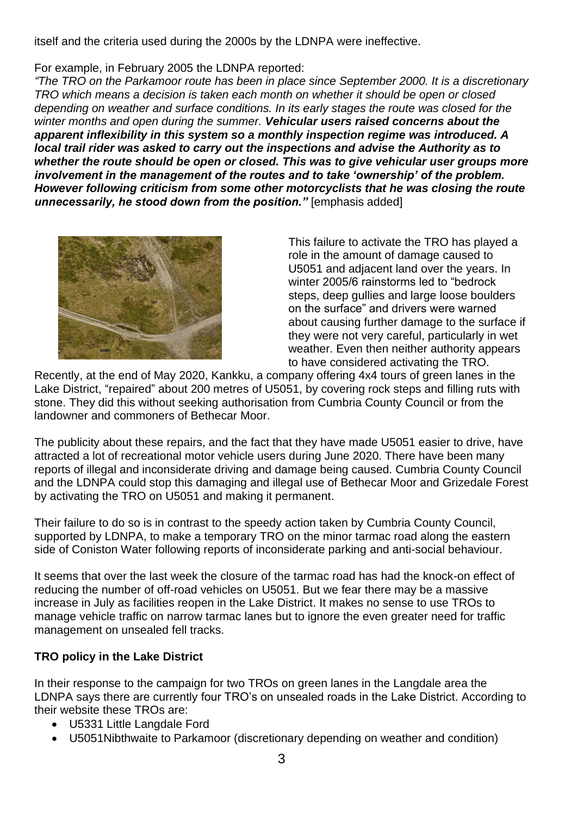itself and the criteria used during the 2000s by the LDNPA were ineffective.

For example, in February 2005 the LDNPA reported:

*"The TRO on the Parkamoor route has been in place since September 2000. It is a discretionary TRO which means a decision is taken each month on whether it should be open or closed depending on weather and surface conditions. In its early stages the route was closed for the winter months and open during the summer. Vehicular users raised concerns about the apparent inflexibility in this system so a monthly inspection regime was introduced. A local trail rider was asked to carry out the inspections and advise the Authority as to whether the route should be open or closed. This was to give vehicular user groups more involvement in the management of the routes and to take 'ownership' of the problem. However following criticism from some other motorcyclists that he was closing the route unnecessarily, he stood down from the position."* [emphasis added]



This failure to activate the TRO has played a role in the amount of damage caused to U5051 and adjacent land over the years. In winter 2005/6 rainstorms led to "bedrock steps, deep gullies and large loose boulders on the surface" and drivers were warned about causing further damage to the surface if they were not very careful, particularly in wet weather. Even then neither authority appears to have considered activating the TRO.

Recently, at the end of May 2020, Kankku, a company offering 4x4 tours of green lanes in the Lake District, "repaired" about 200 metres of U5051, by covering rock steps and filling ruts with stone. They did this without seeking authorisation from Cumbria County Council or from the landowner and commoners of Bethecar Moor.

The publicity about these repairs, and the fact that they have made U5051 easier to drive, have attracted a lot of recreational motor vehicle users during June 2020. There have been many reports of illegal and inconsiderate driving and damage being caused. Cumbria County Council and the LDNPA could stop this damaging and illegal use of Bethecar Moor and Grizedale Forest by activating the TRO on U5051 and making it permanent.

Their failure to do so is in contrast to the speedy action taken by Cumbria County Council, supported by LDNPA, to make a temporary TRO on the minor tarmac road along the eastern side of Coniston Water following reports of inconsiderate parking and anti-social behaviour.

It seems that over the last week the closure of the tarmac road has had the knock-on effect of reducing the number of off-road vehicles on U5051. But we fear there may be a massive increase in July as facilities reopen in the Lake District. It makes no sense to use TROs to manage vehicle traffic on narrow tarmac lanes but to ignore the even greater need for traffic management on unsealed fell tracks.

## **TRO policy in the Lake District**

In their response to the campaign for two TROs on green lanes in the Langdale area the LDNPA says there are currently four TRO's on unsealed roads in the Lake District. According to their website these TROs are:

- U5331 Little Langdale Ford
- U5051Nibthwaite to Parkamoor (discretionary depending on weather and condition)